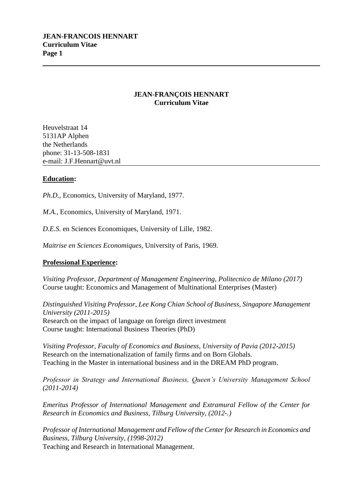## **JEAN-FRANÇOIS HENNART Curriculum Vitae**

Heuvelstraat 14 5131AP Alphen the Netherlands phone: 31-13-508-1831 e-mail: J.F.Hennart@uvt.nl

## **Education:**

*Ph.D.*, Economics, University of Maryland, 1977.

*M.A.*, Economics, University of Maryland, 1971.

*D.E.S.* en Sciences Economiques, University of Lille, 1982.

*Maitrise en Sciences Economiques*, University of Paris, 1969.

## **Professional Experience:**

*Visiting Professor, Department of Management Engineering, Politecnico de Milano (2017)* Course taught: Economics and Management of Multinational Enterprises (Master)

*Distinguished Visiting Professor, Lee Kong Chian School of Business, Singapore Management University (2011-2015)* Research on the impact of language on foreign direct investment Course taught: International Business Theories (PhD)

*Visiting Professor, Faculty of Economics and Business, University of Pavia (2012-2015)* Research on the internationalization of family firms and on Born Globals. Teaching in the Master in international business and in the DREAM PhD program.

*Professor in Strategy and International Business, Queen's University Management School (2011-2014)*

*Emeritus Professor of International Management and Extramural Fellow of the Center for Research in Economics and Business, Tilburg University, (2012-.)*

*Professor of International Management and Fellow of the Center for Research in Economics and Business, Tilburg University, (1998-2012)* Teaching and Research in International Management.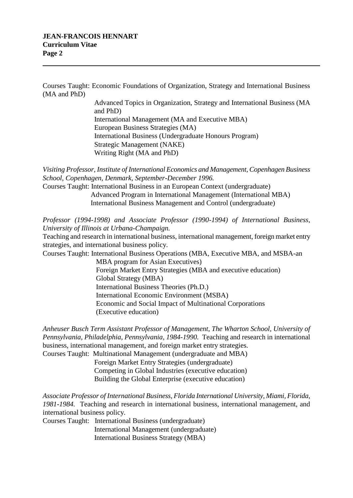Courses Taught: Economic Foundations of Organization, Strategy and International Business (MA and PhD)

> Advanced Topics in Organization, Strategy and International Business (MA and PhD) International Management (MA and Executive MBA) European Business Strategies (MA) International Business (Undergraduate Honours Program) Strategic Management (NAKE) Writing Right (MA and PhD)

*Visiting Professor, Institute of International Economics and Management, Copenhagen Business School, Copenhagen, Denmark, September-December 1996.*

Courses Taught: International Business in an European Context (undergraduate) Advanced Program in International Management (International MBA) International Business Management and Control (undergraduate)

*Professor (1994-1998) and Associate Professor (1990-1994) of International Business, University of Illinois at Urbana-Champaign.*

Teaching and research in international business, international management, foreign market entry strategies, and international business policy.

Courses Taught: International Business Operations (MBA, Executive MBA, and MSBA-an

 MBA program for Asian Executives) Foreign Market Entry Strategies (MBA and executive education) Global Strategy (MBA) International Business Theories (Ph.D.) International Economic Environment (MSBA) Economic and Social Impact of Multinational Corporations (Executive education)

*Anheuser Busch Term Assistant Professor of Management, The Wharton School, University of Pennsylvania, Philadelphia, Pennsylvania, 1984-1990.* Teaching and research in international business, international management, and foreign market entry strategies.

Courses Taught: Multinational Management (undergraduate and MBA)

 Foreign Market Entry Strategies (undergraduate) Competing in Global Industries (executive education) Building the Global Enterprise (executive education)

*Associate Professor of International Business, Florida International University, Miami, Florida, 1981-1984.* Teaching and research in international business, international management, and international business policy.

Courses Taught: International Business (undergraduate) International Management (undergraduate) International Business Strategy (MBA)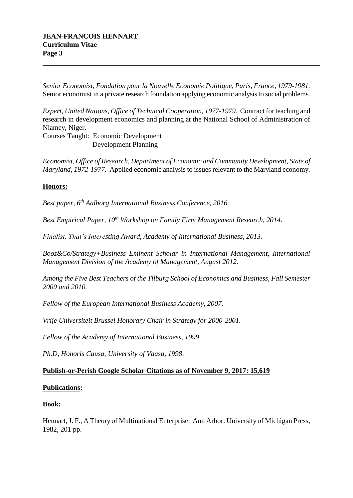*Senior Economist, Fondation pour la Nouvelle Economie Politique, Paris, France, 1979-1981.* Senior economist in a private research foundation applying economic analysis to social problems.

*Expert, United Nations, Office of Technical Cooperation, 1977-1979.* Contract for teaching and research in development economics and planning at the National School of Administration of Niamey, Niger.

Courses Taught: Economic Development Development Planning

*Economist, Office of Research, Department of Economic and Community Development, State of Maryland, 1972-1977.* Applied economic analysis to issues relevant to the Maryland economy.

# **Honors:**

*Best paper, 6th Aalborg International Business Conference, 2016.*

*Best Empirical Paper, 10th Workshop on Family Firm Management Research, 2014.*

*Finalist, That's Interesting Award, Academy of International Business, 2013.*

*Booz&Co/Strategy+Business Eminent Scholar in International Management, International Management Division of the Academy of Management, August 2012.*

*Among the Five Best Teachers of the Tilburg School of Economics and Business, Fall Semester 2009 and 2010.*

*Fellow of the European International Business Academy, 2007.* 

*Vrije Universiteit Brussel Honorary Chair in Strategy for 2000-2001.*

*Fellow of the Academy of International Business, 1999.*

*Ph.D, Honoris Causa, University of Vaasa, 1998*.

## **Publish-or-Perish Google Scholar Citations as of November 9, 2017: 15,619**

## **Publications:**

## **Book:**

Hennart, J. F., A Theory of Multinational Enterprise. Ann Arbor: University of Michigan Press, 1982, 201 pp.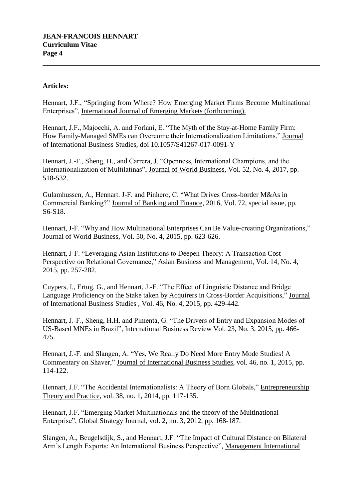## **Articles:**

Hennart, J.F., "Springing from Where? How Emerging Market Firms Become Multinational Enterprises", International Journal of Emerging Markets (forthcoming).

Hennart, J.F., Majocchi, A. and Forlani, E. "The Myth of the Stay-at-Home Family Firm: How Family-Managed SMEs can Overcome their Internationalization Limitations." Journal of International Business Studies, doi 10.1057/S41267-017-0091-Y

Hennart, J.-F., Sheng, H., and Carrera, J. "Openness, International Champions, and the Internationalization of Multilatinas", Journal of World Business, Vol. 52, No. 4, 2017, pp. 518-532.

Gulamhussen, A., Hennart. J-F. and Pinhero, C. "What Drives Cross-border M&As in Commercial Banking?" Journal of Banking and Finance, 2016, Vol. 72, special issue, pp. S6-S18.

Hennart, J-F. "Why and How Multinational Enterprises Can Be Value-creating Organizations," Journal of World Business, Vol. 50, No. 4, 2015, pp. 623-626.

Hennart, J-F. "Leveraging Asian Institutions to Deepen Theory: A Transaction Cost Perspective on Relational Governance," Asian Business and Management, Vol. 14, No. 4, 2015, pp. 257-282.

Cuypers, I., Ertug. G., and Hennart, J.-F. "The Effect of Linguistic Distance and Bridge Language Proficiency on the Stake taken by Acquirers in Cross-Border Acquisitions," Journal of International Business Studies , Vol. 46, No. 4, 2015, pp. 429-442.

Hennart, J.-F., Sheng, H.H. and Pimenta, G. "The Drivers of Entry and Expansion Modes of US-Based MNEs in Brazil", International Business Review Vol. 23, No. 3, 2015, pp. 466- 475.

Hennart, J.-F. and Slangen, A. "Yes, We Really Do Need More Entry Mode Studies! A Commentary on Shaver," Journal of International Business Studies, vol. 46, no. 1, 2015, pp. 114-122.

Hennart, J.F. "The Accidental Internationalists: A Theory of Born Globals," Entrepreneurship Theory and Practice, vol. 38, no. 1, 2014, pp. 117-135.

Hennart, J.F. "Emerging Market Multinationals and the theory of the Multinational Enterprise", Global Strategy Journal, vol. 2, no. 3, 2012, pp. 168-187.

Slangen, A., Beugelsdijk, S., and Hennart, J.F. "The Impact of Cultural Distance on Bilateral Arm's Length Exports: An International Business Perspective", Management International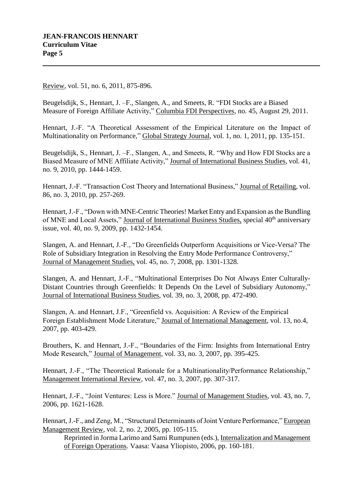Review, vol. 51, no. 6, 2011, 875-896.

Beugelsdijk, S., Hennart, J. –F., Slangen, A., and Smeets, R. "FDI Stocks are a Biased Measure of Foreign Affiliate Activity," Columbia FDI Perspectives, no. 45, August 29, 2011.

Hennart, J.-F. "A Theoretical Assessment of the Empirical Literature on the Impact of Multinationality on Performance," Global Strategy Journal, vol. 1, no. 1, 2011, pp. 135-151.

Beugelsdijk, S., Hennart, J. –F., Slangen, A., and Smeets, R. "Why and How FDI Stocks are a Biased Measure of MNE Affiliate Activity," Journal of International Business Studies, vol. 41, no. 9, 2010, pp. 1444-1459.

Hennart, J.-F. "Transaction Cost Theory and International Business," Journal of Retailing, vol. 86, no. 3, 2010, pp. 257-269.

Hennart, J.-F., "Down with MNE-Centric Theories! Market Entry and Expansion as the Bundling of MNE and Local Assets," Journal of International Business Studies, special 40<sup>th</sup> anniversary issue, vol. 40, no. 9, 2009, pp. 1432-1454.

Slangen, A. and Hennart, J.-F., "Do Greenfields Outperform Acquisitions or Vice-Versa? The Role of Subsidiary Integration in Resolving the Entry Mode Performance Controversy," Journal of Management Studies, vol. 45, no. 7, 2008, pp. 1301-1328.

Slangen, A. and Hennart, J.-F., "Multinational Enterprises Do Not Always Enter Culturally-Distant Countries through Greenfields: It Depends On the Level of Subsidiary Autonomy," Journal of International Business Studies, vol. 39, no. 3, 2008, pp. 472-490.

Slangen, A. and Hennart, J.F., "Greenfield vs. Acquisition: A Review of the Empirical Foreign Establishment Mode Literature," Journal of International Management, vol. 13, no.4, 2007, pp. 403-429.

Brouthers, K. and Hennart, J.-F., "Boundaries of the Firm: Insights from International Entry Mode Research," Journal of Management, vol. 33, no. 3, 2007, pp. 395-425.

Hennart, J.-F., "The Theoretical Rationale for a Multinationality/Performance Relationship," Management International Review, vol. 47, no. 3, 2007, pp. 307-317.

Hennart, J.-F., "Joint Ventures: Less is More." Journal of Management Studies, vol. 43, no. 7, 2006, pp. 1621-1628.

Hennart, J.-F., and Zeng, M., "Structural Determinants of Joint Venture Performance," European Management Review, vol. 2, no. 2, 2005, pp. 105-115.

Reprinted in Jorma Larimo and Sami Rumpunen (eds.), Internalization and Management of Foreign Operations. Vaasa: Vaasa Yliopisto, 2006, pp. 160-181.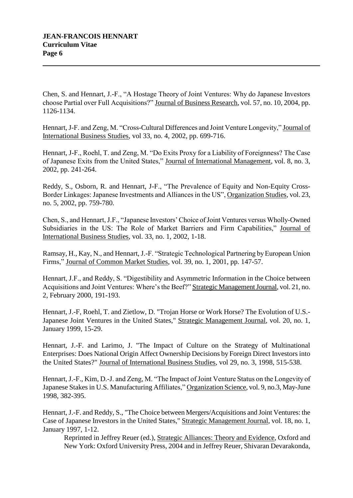Chen, S. and Hennart, J.-F., "A Hostage Theory of Joint Ventures: Why do Japanese Investors choose Partial over Full Acquisitions?" Journal of Business Research, vol. 57, no. 10, 2004, pp. 1126-1134.

Hennart, J-F. and Zeng, M. "Cross-Cultural Differences and Joint Venture Longevity," Journal of International Business Studies, vol 33, no. 4, 2002, pp. 699-716.

Hennart, J-F., Roehl, T. and Zeng, M. "Do Exits Proxy for a Liability of Foreignness? The Case of Japanese Exits from the United States," Journal of International Management, vol. 8, no. 3, 2002, pp. 241-264.

Reddy, S., Osborn, R. and Hennart, J-F., "The Prevalence of Equity and Non-Equity Cross-Border Linkages: Japanese Investments and Alliances in the US", Organization Studies, vol. 23, no. 5, 2002, pp. 759-780.

Chen, S., and Hennart, J.F., "Japanese Investors' Choice of Joint Ventures versus Wholly-Owned Subsidiaries in the US: The Role of Market Barriers and Firm Capabilities," Journal of International Business Studies, vol. 33, no. 1, 2002, 1-18.

Ramsay, H., Kay, N., and Hennart, J.-F. "Strategic Technological Partnering by European Union Firms," Journal of Common Market Studies, vol. 39, no. 1, 2001, pp. 147-57.

Hennart, J.F., and Reddy, S. "Digestibility and Asymmetric Information in the Choice between Acquisitions and Joint Ventures: Where's the Beef?" Strategic Management Journal, vol. 21, no. 2, February 2000, 191-193.

Hennart, J.-F, Roehl, T. and Zietlow, D. "Trojan Horse or Work Horse? The Evolution of U.S.- Japanese Joint Ventures in the United States," Strategic Management Journal, vol. 20, no. 1, January 1999, 15-29.

Hennart, J.-F. and Larimo, J. "The Impact of Culture on the Strategy of Multinational Enterprises: Does National Origin Affect Ownership Decisions by Foreign Direct Investors into the United States?" Journal of International Business Studies, vol 29, no. 3, 1998, 515-538.

Hennart, J.-F., Kim, D.-J. and Zeng, M. "The Impact of Joint Venture Status on the Longevity of Japanese Stakes in U.S. Manufacturing Affiliates," Organization Science, vol. 9, no.3, May-June 1998, 382-395.

Hennart, J.-F. and Reddy, S., "The Choice between Mergers/Acquisitions and Joint Ventures: the Case of Japanese Investors in the United States," Strategic Management Journal, vol. 18, no. 1, January 1997, 1-12.

Reprinted in Jeffrey Reuer (ed.), Strategic Alliances: Theory and Evidence, Oxford and New York: Oxford University Press, 2004 and in Jeffrey Reuer, Shivaran Devarakonda,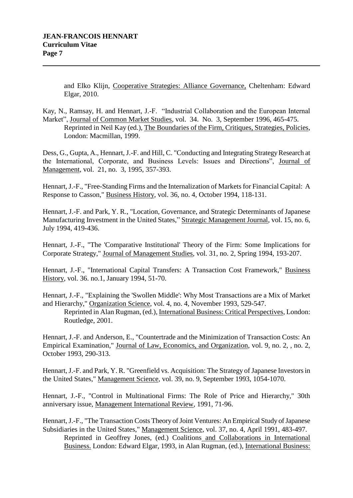and Elko Klijn, Cooperative Strategies: Alliance Governance, Cheltenham: Edward Elgar, 2010.

Kay, N., Ramsay, H. and Hennart, J.-F. "Industrial Collaboration and the European Internal Market", Journal of Common Market Studies, vol. 34. No. 3, September 1996, 465-475. Reprinted in Neil Kay (ed.), The Boundaries of the Firm, Critiques, Strategies, Policies, London: Macmillan, 1999.

Dess, G., Gupta, A., Hennart, J.-F. and Hill, C. "Conducting and Integrating Strategy Research at the International, Corporate, and Business Levels: Issues and Directions", Journal of Management, vol. 21, no. 3, 1995, 357-393.

Hennart, J.-F., "Free-Standing Firms and the Internalization of Markets for Financial Capital: A Response to Casson," Business History, vol. 36, no. 4, October 1994, 118-131.

Hennart, J.-F. and Park, Y. R., "Location, Governance, and Strategic Determinants of Japanese Manufacturing Investment in the United States," Strategic Management Journal, vol. 15, no. 6, July 1994, 419-436.

Hennart, J.-F., "The 'Comparative Institutional' Theory of the Firm: Some Implications for Corporate Strategy," Journal of Management Studies, vol. 31, no. 2, Spring 1994, 193-207.

Hennart, J.-F., "International Capital Transfers: A Transaction Cost Framework," Business History, vol. 36. no.1, January 1994, 51-70.

Hennart, J.-F., "Explaining the 'Swollen Middle': Why Most Transactions are a Mix of Market and Hierarchy," Organization Science, vol. 4, no. 4, November 1993, 529-547.

Reprinted in Alan Rugman, (ed.), International Business: Critical Perspectives, London: Routledge, 2001.

Hennart, J.-F. and Anderson, E., "Countertrade and the Minimization of Transaction Costs: An Empirical Examination," Journal of Law, Economics, and Organization, vol. 9, no. 2, , no. 2, October 1993, 290-313.

Hennart, J.-F. and Park, Y. R. "Greenfield vs. Acquisition: The Strategy of Japanese Investors in the United States," Management Science, vol. 39, no. 9, September 1993, 1054-1070.

Hennart, J.-F., "Control in Multinational Firms: The Role of Price and Hierarchy," 30th anniversary issue, Management International Review, 1991, 71-96.

Hennart, J.-F., "The Transaction Costs Theory of Joint Ventures: An Empirical Study of Japanese Subsidiaries in the United States," Management Science, vol. 37, no. 4, April 1991, 483-497.

Reprinted in Geoffrey Jones, (ed.) Coalitions and Collaborations in International Business. London: Edward Elgar, 1993, in Alan Rugman, (ed.), International Business: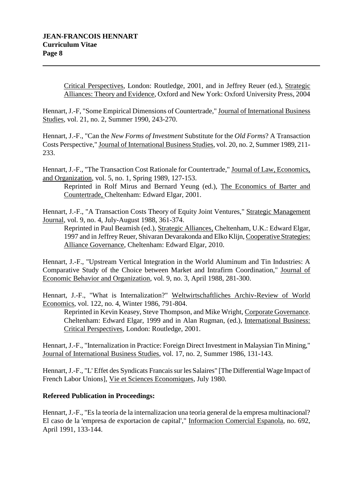Critical Perspectives, London: Routledge, 2001, and in Jeffrey Reuer (ed.), Strategic Alliances: Theory and Evidence, Oxford and New York: Oxford University Press, 2004

Hennart, J.-F, "Some Empirical Dimensions of Countertrade," Journal of International Business Studies, vol. 21, no. 2, Summer 1990, 243-270.

Hennart, J.-F., "Can the *New Forms of Investment* Substitute for the *Old Forms*? A Transaction Costs Perspective," Journal of International Business Studies, vol. 20, no. 2, Summer 1989, 211- 233.

Hennart, J.-F., "The Transaction Cost Rationale for Countertrade," Journal of Law, Economics, and Organization, vol. 5, no. 1, Spring 1989, 127-153.

Reprinted in Rolf Mirus and Bernard Yeung (ed.), The Economics of Barter and Countertrade, Cheltenham: Edward Elgar, 2001.

Hennart, J.-F., "A Transaction Costs Theory of Equity Joint Ventures," Strategic Management Journal, vol. 9, no. 4, July-August 1988, 361-374.

Reprinted in Paul Beamish (ed.), Strategic Alliances, Cheltenham, U.K.: Edward Elgar, 1997 and in Jeffrey Reuer, Shivaran Devarakonda and Elko Klijn, Cooperative Strategies: Alliance Governance, Cheltenham: Edward Elgar, 2010.

Hennart, J.-F., "Upstream Vertical Integration in the World Aluminum and Tin Industries: A Comparative Study of the Choice between Market and Intrafirm Coordination," Journal of Economic Behavior and Organization, vol. 9, no. 3, April 1988, 281-300.

Hennart, J.-F., "What is Internalization?" Weltwirtschaftliches Archiv-Review of World Economics, vol. 122, no. 4, Winter 1986, 791-804.

Reprinted in Kevin Keasey, Steve Thompson, and Mike Wright, Corporate Governance. Cheltenham: Edward Elgar, 1999 and in Alan Rugman, (ed.), International Business: Critical Perspectives, London: Routledge, 2001.

Hennart, J.-F., "Internalization in Practice: Foreign Direct Investment in Malaysian Tin Mining," Journal of International Business Studies, vol. 17, no. 2, Summer 1986, 131-143.

Hennart, J.-F., "L' Effet des Syndicats Francais sur les Salaires" [The Differential Wage Impact of French Labor Unions], Vie et Sciences Economiques, July 1980.

# **Refereed Publication in Proceedings:**

Hennart, J.-F., "Es la teoria de la internalizacion una teoria general de la empresa multinacional? El caso de la 'empresa de exportacion de capital'," Informacion Comercial Espanola, no. 692, April 1991, 133-144.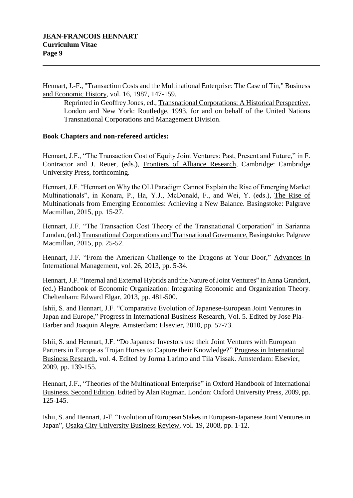Hennart, J.-F., "Transaction Costs and the Multinational Enterprise: The Case of Tin," Business and Economic History, vol. 16, 1987, 147-159.

Reprinted in Geoffrey Jones, ed., Transnational Corporations: A Historical Perspective, London and New York: Routledge, 1993, for and on behalf of the United Nations Transnational Corporations and Management Division.

## **Book Chapters and non-refereed articles:**

Hennart, J.F., "The Transaction Cost of Equity Joint Ventures: Past, Present and Future," in F. Contractor and J. Reuer, (eds.), Frontiers of Alliance Research, Cambridge: Cambridge University Press, forthcoming.

Hennart, J.F. "Hennart on Why the OLI Paradigm Cannot Explain the Rise of Emerging Market Multinationals", in Konara, P., Ha, Y.J., McDonald, F., and Wei, Y. (eds.), The Rise of Multinationals from Emerging Economies: Achieving a New Balance. Basingstoke: Palgrave Macmillan, 2015, pp. 15-27.

Hennart, J.F. "The Transaction Cost Theory of the Transnational Corporation" in Sarianna Lundan, (ed.) Transnational Corporations and Transnational Governance, Basingstoke: Palgrave Macmillan, 2015, pp. 25-52.

Hennart, J.F. "From the American Challenge to the Dragons at Your Door," Advances in International Management, vol. 26, 2013, pp. 5-34.

Hennart, J.F. "Internal and External Hybrids and the Nature of Joint Ventures" in Anna Grandori, (ed.) Handbook of Economic Organization: Integrating Economic and Organization Theory*.*  Cheltenham: Edward Elgar, 2013, pp. 481-500.

Ishii, S. and Hennart, J.F. "Comparative Evolution of Japanese-European Joint Ventures in Japan and Europe," Progress in International Business Research, Vol. 5. Edited by Jose Pla-Barber and Joaquin Alegre. Amsterdam: Elsevier, 2010, pp. 57-73.

Ishii, S. and Hennart, J.F. "Do Japanese Investors use their Joint Ventures with European Partners in Europe as Trojan Horses to Capture their Knowledge?" Progress in International Business Research, vol. 4. Edited by Jorma Larimo and Tila Vissak. Amsterdam: Elsevier, 2009, pp. 139-155.

Hennart, J.F., "Theories of the Multinational Enterprise" in Oxford Handbook of International Business, Second Edition. Edited by Alan Rugman. London: Oxford University Press, 2009, pp. 125-145.

Ishii, S. and Hennart, J-F. "Evolution of European Stakes in European-Japanese Joint Ventures in Japan", Osaka City University Business Review, vol. 19, 2008, pp. 1-12.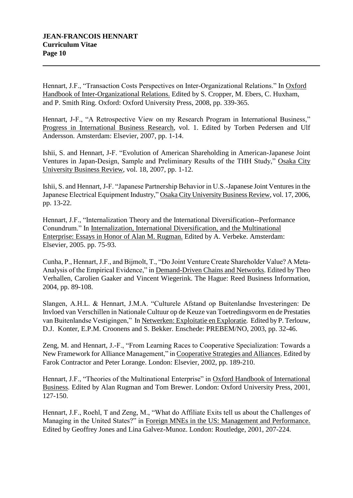Hennart, J.F., "Transaction Costs Perspectives on Inter-Organizational Relations." In Oxford Handbook of Inter-Organizational Relations. Edited by S. Cropper, M. Ebers, C. Huxham, and P. Smith Ring. Oxford: Oxford University Press, 2008, pp. 339-365.

Hennart, J-F., "A Retrospective View on my Research Program in International Business," Progress in International Business Research, vol. 1. Edited by Torben Pedersen and Ulf Andersson. Amsterdam: Elsevier, 2007, pp. 1-14.

Ishii, S. and Hennart, J-F. "Evolution of American Shareholding in American-Japanese Joint Ventures in Japan-Design, Sample and Preliminary Results of the THH Study," Osaka City University Business Review, vol. 18, 2007, pp. 1-12.

Ishii, S. and Hennart, J-F. "Japanese Partnership Behavior in U.S.-Japanese Joint Ventures in the Japanese Electrical Equipment Industry," Osaka City University Business Review, vol. 17, 2006, pp. 13-22.

Hennart, J.F., "Internalization Theory and the International Diversification--Performance Conundrum." In Internalization, International Diversification, and the Multinational Enterprise: Essays in Honor of Alan M. Rugman. Edited by A. Verbeke. Amsterdam: Elsevier, 2005. pp. 75-93.

Cunha, P., Hennart, J.F., and Bijmolt, T., "Do Joint Venture Create Shareholder Value? A Meta-Analysis of the Empirical Evidence," in Demand-Driven Chains and Networks. Edited by Theo Verhallen, Carolien Gaaker and Vincent Wiegerink. The Hague: Reed Business Information, 2004, pp. 89-108.

Slangen, A.H.L. & Hennart, J.M.A. "Culturele Afstand op Buitenlandse Investeringen: De Invloed van Verschillen in Nationale Cultuur op de Keuze van Toetredingsvorm en de Prestaties van Buitenlandse Vestigingen," In Netwerken: Exploitatie en Exploratie*.* Edited by P. Terlouw, D.J. Konter, E.P.M. Croonens and S. Bekker. Enschede: PREBEM/NO, 2003, pp. 32-46.

Zeng, M. and Hennart, J.-F., "From Learning Races to Cooperative Specialization: Towards a New Framework for Alliance Management," in Cooperative Strategies and Alliances. Edited by Farok Contractor and Peter Lorange. London: Elsevier, 2002, pp. 189-210.

Hennart, J.F., "Theories of the Multinational Enterprise" in Oxford Handbook of International Business. Edited by Alan Rugman and Tom Brewer. London: Oxford University Press, 2001, 127-150.

Hennart, J.F., Roehl, T and Zeng, M., "What do Affiliate Exits tell us about the Challenges of Managing in the United States?" in Foreign MNEs in the US: Management and Performance. Edited by Geoffrey Jones and Lina Galvez-Munoz. London: Routledge, 2001, 207-224.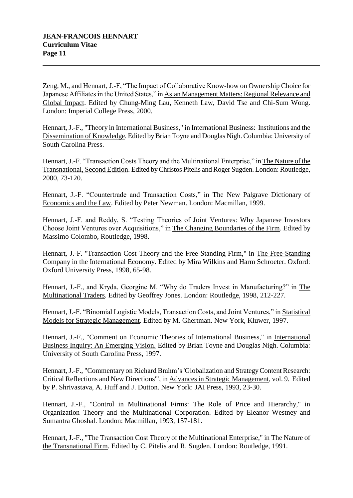Zeng, M., and Hennart, J.-F, "The Impact of Collaborative Know-how on Ownership Choice for Japanese Affiliates in the United States," in Asian Management Matters: Regional Relevance and Global Impact. Edited by Chung-Ming Lau, Kenneth Law, David Tse and Chi-Sum Wong. London: Imperial College Press, 2000.

Hennart, J.-F., "Theory in International Business," in International Business: Institutions and the Dissemination of Knowledge. Edited by Brian Toyne and Douglas Nigh. Columbia: University of South Carolina Press.

Hennart, J.-F. "Transaction Costs Theory and the Multinational Enterprise," in The Nature of the Transnational, Second Edition. Edited by Christos Pitelis and Roger Sugden. London: Routledge, 2000, 73-120.

Hennart, J.-F. "Countertrade and Transaction Costs," in The New Palgrave Dictionary of Economics and the Law. Edited by Peter Newman. London: Macmillan, 1999.

Hennart, J.-F. and Reddy, S. "Testing Theories of Joint Ventures: Why Japanese Investors Choose Joint Ventures over Acquisitions," in The Changing Boundaries of the Firm. Edited by Massimo Colombo, Routledge, 1998.

Hennart, J.-F. "Transaction Cost Theory and the Free Standing Firm," in The Free-Standing Company in the International Economy. Edited by Mira Wilkins and Harm Schroeter. Oxford: Oxford University Press, 1998, 65-98.

Hennart, J.-F., and Kryda, Georgine M. "Why do Traders Invest in Manufacturing?" in The Multinational Traders. Edited by Geoffrey Jones. London: Routledge, 1998, 212-227.

Hennart, J.-F. "Binomial Logistic Models, Transaction Costs, and Joint Ventures," in Statistical Models for Strategic Management. Edited by M. Ghertman. New York, Kluwer, 1997.

Hennart, J.-F., "Comment on Economic Theories of International Business," in International Business Inquiry: An Emerging Vision. Edited by Brian Toyne and Douglas Nigh. Columbia: University of South Carolina Press, 1997.

Hennart, J.-F., "Commentary on Richard Brahm's'Globalization and Strategy Content Research: Critical Reflections and New Directions'", in Advances in Strategic Management, vol. 9. Edited by P. Shrivastava, A. Huff and J. Dutton. New York: JAI Press, 1993, 23-30.

Hennart, J.-F., "Control in Multinational Firms: The Role of Price and Hierarchy," in Organization Theory and the Multinational Corporation. Edited by Eleanor Westney and Sumantra Ghoshal. London: Macmillan, 1993, 157-181.

Hennart, J.-F., "The Transaction Cost Theory of the Multinational Enterprise," in The Nature of the Transnational Firm. Edited by C. Pitelis and R. Sugden. London: Routledge, 1991.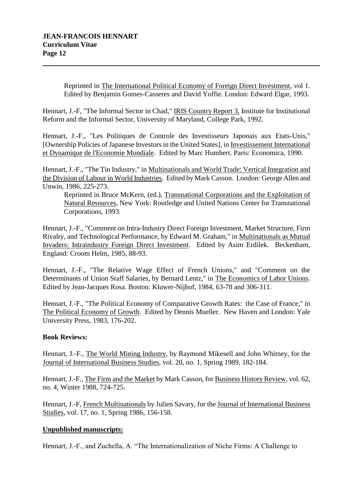Reprinted in The International Political Economy of Foreign Direct Investment, vol 1. Edited by Benjamin Gomes-Casseres and David Yoffie. London: Edward Elgar, 1993.

Hennart, J.-F, "The Informal Sector in Chad," IRIS Country Report 3, Institute for Institutional Reform and the Informal Sector, University of Maryland, College Park, 1992.

Hennart, J.-F., "Les Politiques de Controle des Investisseurs Japonais aux Etats-Unis," [Ownership Policies of Japanese Investors in the United States], in Investissement International et Dynamique de l'Economie Mondiale. Edited by Marc Humbert. Paris: Economica, 1990.

Hennart, J.-F., "The Tin Industry," in Multinationals and World Trade: Vertical Integration and the Division of Labour in World Industries. Edited by Mark Casson. London: George Allen and Unwin, 1986, 225-273.

Reprinted in Bruce McKern, (ed.), Transnational Corporations and the Exploitation of Natural Resources, New York: Routledge and United Nations Center for Transnational Corporations, 1993.

Hennart, J.-F., "Comment on Intra-Industry Direct Foreign Investment, Market Structure, Firm Rivalry, and Technological Performance, by Edward M. Graham," in Multinationals as Mutual Invaders: Intraindustry Foreign Direct Investment. Edited by Asim Erdilek. Beckenham, England: Croom Helm, 1985, 88-93.

Hennart, J.-F., "The Relative Wage Effect of French Unions," and "Comment on the Determinants of Union Staff Salaries, by Bernard Lentz," in The Economics of Labor Unions. Edited by Jean-Jacques Rosa. Boston: Kluwer-Nijhof, 1984, 63-78 and 306-311.

Hennart, J.-F., "The Political Economy of Comparative Growth Rates: the Case of France," in The Political Economy of Growth. Edited by Dennis Mueller. New Haven and London: Yale University Press, 1983, 176-202.

## **Book Reviews:**

Hennart, J.-F., The World Mining Industry, by Raymond Mikesell and John Whitney, for the Journal of International Business Studies, vol. 20, no. 1, Spring 1989, 182-184.

Hennart, J.-F., The Firm and the Market by Mark Casson, for Business History Review, vol. 62, no. 4, Winter 1988, 724-725.

Hennart, J.-F, French Multinationals by Julien Savary, for the Journal of International Business Studies, vol. 17, no. 1, Spring 1986, 156-158.

## **Unpublished manuscripts:**

Hennart, J.-F., and Zuchella, A. "The Internationalization of Niche Firms: A Challenge to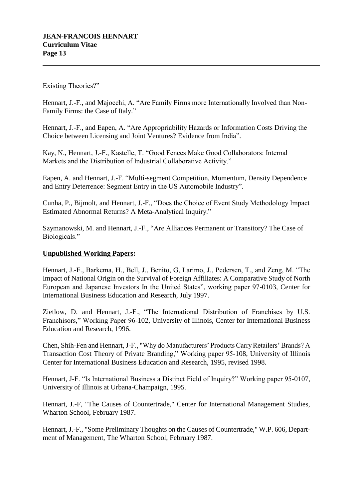Existing Theories?"

Hennart, J.-F., and Majocchi, A. "Are Family Firms more Internationally Involved than Non-Family Firms: the Case of Italy."

Hennart, J.-F., and Eapen, A. "Are Appropriability Hazards or Information Costs Driving the Choice between Licensing and Joint Ventures? Evidence from India".

Kay, N., Hennart, J.-F., Kastelle, T. "Good Fences Make Good Collaborators: Internal Markets and the Distribution of Industrial Collaborative Activity."

Eapen, A. and Hennart, J.-F. "Multi-segment Competition, Momentum, Density Dependence and Entry Deterrence: Segment Entry in the US Automobile Industry".

Cunha, P., Bijmolt, and Hennart, J.-F., "Does the Choice of Event Study Methodology Impact Estimated Abnormal Returns? A Meta-Analytical Inquiry."

Szymanowski, M. and Hennart, J.-F., "Are Alliances Permanent or Transitory? The Case of Biologicals."

# **Unpublished Working Papers:**

Hennart, J.-F., Barkema, H., Bell, J., Benito, G, Larimo, J., Pedersen, T., and Zeng, M. "The Impact of National Origin on the Survival of Foreign Affiliates: A Comparative Study of North European and Japanese Investors In the United States", working paper 97-0103, Center for International Business Education and Research, July 1997.

Zietlow, D. and Hennart, J.-F., "The International Distribution of Franchises by U.S. Franchisors," Working Paper 96-102, University of Illinois, Center for International Business Education and Research, 1996.

Chen, Shih-Fen and Hennart, J-F., "Why do Manufacturers' Products Carry Retailers' Brands? A Transaction Cost Theory of Private Branding," Working paper 95-108, University of Illinois Center for International Business Education and Research, 1995, revised 1998.

Hennart, J-F. "Is International Business a Distinct Field of Inquiry?" Working paper 95-0107, University of Illinois at Urbana-Champaign, 1995.

Hennart, J.-F, "The Causes of Countertrade," Center for International Management Studies, Wharton School, February 1987.

Hennart, J.-F., "Some Preliminary Thoughts on the Causes of Countertrade," W.P. 606, Department of Management, The Wharton School, February 1987.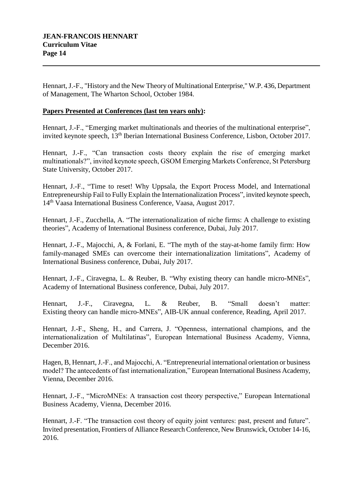Hennart, J.-F., "History and the New Theory of Multinational Enterprise," W.P. 436, Department of Management, The Wharton School, October 1984.

## **Papers Presented at Conferences (last ten years only):**

Hennart, J.-F., "Emerging market multinationals and theories of the multinational enterprise", invited keynote speech, 13<sup>th</sup> Iberian International Business Conference, Lisbon, October 2017.

Hennart, J.-F., "Can transaction costs theory explain the rise of emerging market multinationals?", invited keynote speech, GSOM Emerging Markets Conference, St Petersburg State University, October 2017.

Hennart, J.-F., "Time to reset! Why Uppsala, the Export Process Model, and International Entrepreneurship Fail to Fully Explain the Internationalization Process", invited keynote speech, 14th Vaasa International Business Conference, Vaasa, August 2017.

Hennart, J.-F., Zucchella, A. "The internationalization of niche firms: A challenge to existing theories", Academy of International Business conference, Dubai, July 2017.

Hennart, J.-F., Majocchi, A, & Forlani, E. "The myth of the stay-at-home family firm: How family-managed SMEs can overcome their internationalization limitations", Academy of International Business conference, Dubai, July 2017.

Hennart, J.-F., Ciravegna, L. & Reuber, B. "Why existing theory can handle micro-MNEs", Academy of International Business conference, Dubai, July 2017.

Hennart, J.-F., Ciravegna, L. & Reuber, B. "Small doesn't matter: Existing theory can handle micro-MNEs", AIB-UK annual conference, Reading, April 2017.

Hennart, J.-F., Sheng, H., and Carrera, J. "Openness, international champions, and the internationalization of Multilatinas", European International Business Academy, Vienna, December 2016.

Hagen, B, Hennart, J.-F., and Majocchi, A. "Entrepreneurial international orientation or business model? The antecedents of fast internationalization," European International Business Academy, Vienna, December 2016.

Hennart, J.-F., "MicroMNEs: A transaction cost theory perspective," European International Business Academy, Vienna, December 2016.

Hennart, J.-F. "The transaction cost theory of equity joint ventures: past, present and future". Invited presentation, Frontiers of Alliance Research Conference, New Brunswick, October 14-16, 2016.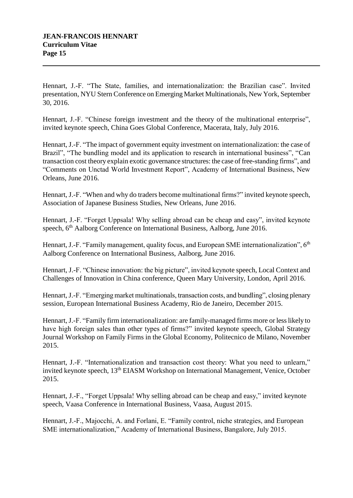Hennart, J.-F. "The State, families, and internationalization: the Brazilian case". Invited presentation, NYU Stern Conference on Emerging Market Multinationals, New York, September 30, 2016.

Hennart, J.-F. "Chinese foreign investment and the theory of the multinational enterprise", invited keynote speech, China Goes Global Conference, Macerata, Italy, July 2016.

Hennart, J.-F. "The impact of government equity investment on internationalization: the case of Brazil", "The bundling model and its application to research in international business", "Can transaction cost theory explain exotic governance structures: the case of free-standing firms", and "Comments on Unctad World Investment Report", Academy of International Business, New Orleans, June 2016.

Hennart, J.-F. "When and why do traders become multinational firms?" invited keynote speech, Association of Japanese Business Studies, New Orleans, June 2016.

Hennart, J.-F. "Forget Uppsala! Why selling abroad can be cheap and easy", invited keynote speech, 6<sup>th</sup> Aalborg Conference on International Business, Aalborg, June 2016.

Hennart, J.-F. "Family management, quality focus, and European SME internationalization",  $6<sup>th</sup>$ Aalborg Conference on International Business, Aalborg, June 2016.

Hennart, J.-F. "Chinese innovation: the big picture", invited keynote speech, Local Context and Challenges of Innovation in China conference, Queen Mary University, London, April 2016.

Hennart, J.-F. "Emerging market multinationals, transaction costs, and bundling", closing plenary session, European International Business Academy, Rio de Janeiro, December 2015.

Hennart, J.-F. "Family firm internationalization: are family-managed firms more or less likely to have high foreign sales than other types of firms?" invited keynote speech, Global Strategy Journal Workshop on Family Firms in the Global Economy, Politecnico de Milano, November 2015.

Hennart, J.-F. "Internationalization and transaction cost theory: What you need to unlearn," invited keynote speech, 13<sup>th</sup> EIASM Workshop on International Management, Venice, October 2015.

Hennart, J.-F., "Forget Uppsala! Why selling abroad can be cheap and easy," invited keynote speech, Vaasa Conference in International Business, Vaasa, August 2015.

Hennart, J.-F., Majocchi, A. and Forlani, E. "Family control, niche strategies, and European SME internationalization," Academy of International Business, Bangalore, July 2015.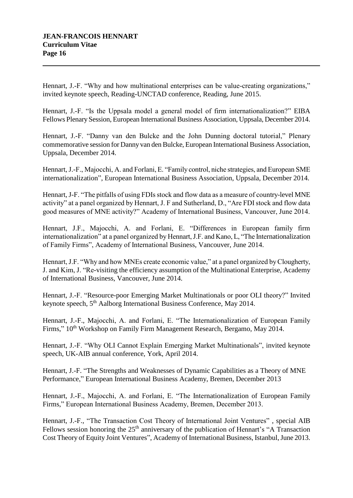Hennart, J.-F. "Why and how multinational enterprises can be value-creating organizations," invited keynote speech, Reading-UNCTAD conference, Reading, June 2015.

Hennart, J.-F. "Is the Uppsala model a general model of firm internationalization?" EIBA Fellows Plenary Session, European International Business Association, Uppsala, December 2014.

Hennart, J.-F. "Danny van den Bulcke and the John Dunning doctoral tutorial," Plenary commemorative session for Danny van den Bulcke, European International Business Association, Uppsala, December 2014.

Hennart, J.-F., Majocchi, A. and Forlani, E. "Family control, niche strategies, and European SME internationalization", European International Business Association, Uppsala, December 2014.

Hennart, J-F. "The pitfalls of using FDIs stock and flow data as a measure of country-level MNE activity" at a panel organized by Hennart, J. F and Sutherland, D., "Are FDI stock and flow data good measures of MNE activity?" Academy of International Business, Vancouver, June 2014.

Hennart, J.F., Majocchi, A. and Forlani, E. "Differences in European family firm internationalization" at a panel organized by Hennart, J.F. and Kano, L, "The Internationalization of Family Firms", Academy of International Business, Vancouver, June 2014.

Hennart, J.F. "Why and how MNEs create economic value," at a panel organized by Clougherty, J. and Kim, J. "Re-visiting the efficiency assumption of the Multinational Enterprise, Academy of International Business, Vancouver, June 2014.

Hennart, J.-F. "Resource-poor Emerging Market Multinationals or poor OLI theory?" Invited keynote speech, 5<sup>th</sup> Aalborg International Business Conference, May 2014.

Hennart, J.-F., Majocchi, A. and Forlani, E. "The Internationalization of European Family Firms,"  $10^{th}$  Workshop on Family Firm Management Research, Bergamo, May 2014.

Hennart, J.-F. "Why OLI Cannot Explain Emerging Market Multinationals", invited keynote speech, UK-AIB annual conference, York, April 2014.

Hennart, J.-F. "The Strengths and Weaknesses of Dynamic Capabilities as a Theory of MNE Performance," European International Business Academy, Bremen, December 2013

Hennart, J.-F., Majocchi, A. and Forlani, E. "The Internationalization of European Family Firms," European International Business Academy, Bremen, December 2013.

Hennart, J.-F., "The Transaction Cost Theory of International Joint Ventures" , special AIB Fellows session honoring the  $25<sup>th</sup>$  anniversary of the publication of Hennart's "A Transaction Cost Theory of Equity Joint Ventures", Academy of International Business, Istanbul, June 2013.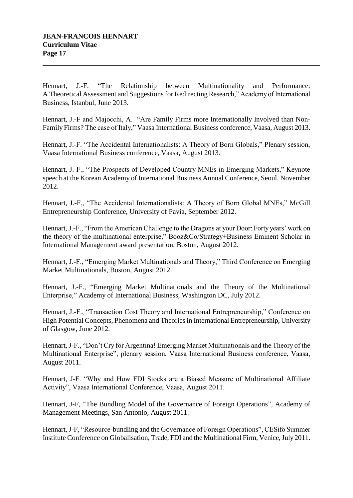Hennart, J.-F. "The Relationship between Multinationality and Performance: A Theoretical Assessment and Suggestions for Redirecting Research," Academy of International Business, Istanbul, June 2013.

Hennart, J.-F and Majocchi, A. "Are Family Firms more Internationally Involved than Non-Family Firms? The case of Italy," Vaasa International Business conference, Vaasa, August 2013.

Hennart, J.-F. "The Accidental Internationalists: A Theory of Born Globals," Plenary session, Vaasa International Business conference, Vaasa, August 2013.

Hennart, J.-F., "The Prospects of Developed Country MNEs in Emerging Markets," Keynote speech at the Korean Academy of International Business Annual Conference, Seoul, November 2012.

Hennart, J.-F., "The Accidental Internationalists: A Theory of Born Global MNEs," McGill Entrepreneurship Conference, University of Pavia, September 2012.

Hennart, J.-F., "From the American Challenge to the Dragons at your Door: Forty years' work on the theory of the multinational enterprise," Booz&Co/Strategy+Business Eminent Scholar in International Management award presentation, Boston, August 2012.

Hennart, J.-F., "Emerging Market Multinationals and Theory," Third Conference on Emerging Market Multinationals, Boston, August 2012.

Hennart, J.-F., "Emerging Market Multinationals and the Theory of the Multinational Enterprise," Academy of International Business, Washington DC, July 2012.

Hennart, J.-F., "Transaction Cost Theory and International Entrepreneurship," Conference on High Potential Concepts, Phenomena and Theories in International Entrepreneurship, University of Glasgow, June 2012.

Hennart, J-F., "Don't Cry for Argentina! Emerging Market Multinationals and the Theory of the Multinational Enterprise", plenary session, Vaasa International Business conference, Vaasa, August 2011.

Hennart, J-F. "Why and How FDI Stocks are a Biased Measure of Multinational Affiliate Activity", Vaasa International Conference, Vaasa, August 2011.

Hennart, J-F, "The Bundling Model of the Governance of Foreign Operations", Academy of Management Meetings, San Antonio, August 2011.

Hennart, J-F, "Resource-bundling and the Governance of Foreign Operations", CESifo Summer Institute Conference on Globalisation, Trade, FDI and the Multinational Firm, Venice, July 2011.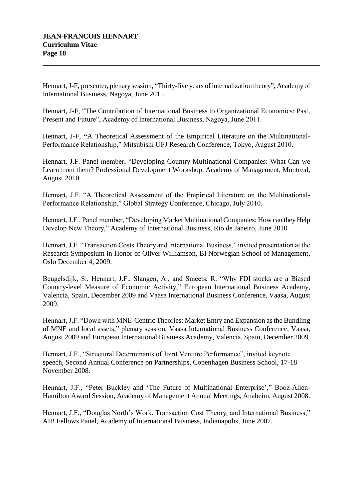Hennart, J-F, presenter, plenary session, "Thirty-five years of internalization theory", Academy of International Business, Nagoya, June 2011.

Hennart, J-F, "The Contribution of International Business to Organizational Economics: Past, Present and Future", Academy of International Business, Nagoya, June 2011.

Hennart, J-F, **"**A Theoretical Assessment of the Empirical Literature on the Multinational-Performance Relationship," Mitsubishi UFJ Research Conference, Tokyo, August 2010.

Hennart, J.F. Panel member, "Developing Country Multinational Companies: What Can we Learn from them? Professional Development Workshop, Academy of Management, Montreal, August 2010.

Hennart, J.F. "A Theoretical Assessment of the Empirical Literature on the Multinational-Performance Relationship," Global Strategy Conference, Chicago, July 2010.

Hennart, J.F., Panel member, "Developing Market Multinational Companies: How can they Help Develop New Theory," Academy of International Business, Rio de Janeiro, June 2010

Hennart, J.F. "Transaction Costs Theory and International Business," invited presentation at the Research Symposium in Honor of Oliver Williamson, BI Norwegian School of Management, Oslo December 4, 2009.

Beugelsdijk, S., Hennart, J.F., Slangen, A., and Smeets, R. "Why FDI stocks are a Biased Country-level Measure of Economic Activity," European International Business Academy, Valencia, Spain, December 2009 and Vaasa International Business Conference, Vaasa, August 2009.

Hennart, J.F. "Down with MNE-Centric Theories: Market Entry and Expansion as the Bundling of MNE and local assets," plenary session, Vaasa International Business Conference, Vaasa, August 2009 and European International Business Academy, Valencia, Spain, December 2009.

Hennart, J.F., "Structural Determinants of Joint Venture Performance", invited keynote speech, Second Annual Conference on Partnerships, Copenhagen Business School, 17-18 November 2008.

Hennart, J.F., "Peter Buckley and 'The Future of Multinational Enterprise'," Booz-Allen-Hamilton Award Session, Academy of Management Annual Meetings, Anaheim, August 2008.

Hennart, J.F., "Douglas North's Work, Transaction Cost Theory, and International Business," AIB Fellows Panel, Academy of International Business, Indianapolis, June 2007.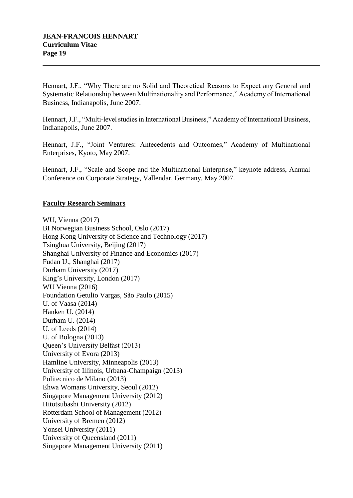Hennart, J.F., "Why There are no Solid and Theoretical Reasons to Expect any General and Systematic Relationship between Multinationality and Performance," Academy of International Business, Indianapolis, June 2007.

Hennart, J.F., "Multi-level studies in International Business," Academy of International Business, Indianapolis, June 2007.

Hennart, J.F., "Joint Ventures: Antecedents and Outcomes," Academy of Multinational Enterprises, Kyoto, May 2007.

Hennart, J.F., "Scale and Scope and the Multinational Enterprise," keynote address, Annual Conference on Corporate Strategy, Vallendar, Germany, May 2007.

## **Faculty Research Seminars**

WU, Vienna (2017) BI Norwegian Business School, Oslo (2017) Hong Kong University of Science and Technology (2017) Tsinghua University, Beijing (2017) Shanghai University of Finance and Economics (2017) Fudan U., Shanghai (2017) Durham University (2017) King's University, London (2017) WU Vienna (2016) Foundation Getulio Vargas, São Paulo (2015) U. of Vaasa (2014) Hanken U. (2014) Durham U. (2014) U. of Leeds (2014) U. of Bologna (2013) Queen's University Belfast (2013) University of Evora (2013) Hamline University, Minneapolis (2013) University of Illinois, Urbana-Champaign (2013) Politecnico de Milano (2013) Ehwa Womans University, Seoul (2012) Singapore Management University (2012) Hitotsubashi University (2012) Rotterdam School of Management (2012) University of Bremen (2012) Yonsei University (2011) University of Queensland (2011) Singapore Management University (2011)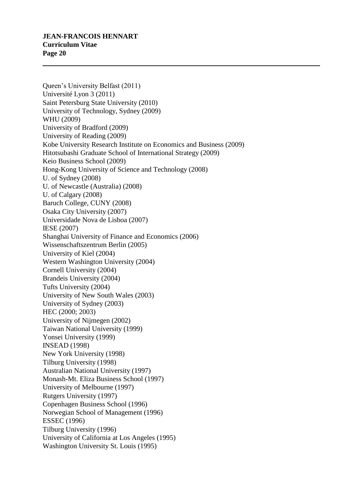## **JEAN-FRANCOIS HENNART Curriculum Vitae Page 20**

Queen's University Belfast (2011) Université Lyon 3 (2011) Saint Petersburg State University (2010) University of Technology, Sydney (2009) WHU (2009) University of Bradford (2009) University of Reading (2009) Kobe University Research Institute on Economics and Business (2009) Hitotsubashi Graduate School of International Strategy (2009) Keio Business School (2009) Hong-Kong University of Science and Technology (2008) U. of Sydney (2008) U. of Newcastle (Australia) (2008) U. of Calgary (2008) Baruch College, CUNY (2008) Osaka City University (2007) Universidade Nova de Lisboa (2007) IESE (2007) Shanghai University of Finance and Economics (2006) Wissenschaftszentrum Berlin (2005) University of Kiel (2004) Western Washington University (2004) Cornell University (2004) Brandeis University (2004) Tufts University (2004) University of New South Wales (2003) University of Sydney (2003) HEC (2000; 2003) University of Nijmegen (2002) Taiwan National University (1999) Yonsei University (1999) INSEAD (1998) New York University (1998) Tilburg University (1998) Australian National University (1997) Monash-Mt. Eliza Business School (1997) University of Melbourne (1997) Rutgers University (1997) Copenhagen Business School (1996) Norwegian School of Management (1996) ESSEC (1996) Tilburg University (1996) University of California at Los Angeles (1995) Washington University St. Louis (1995)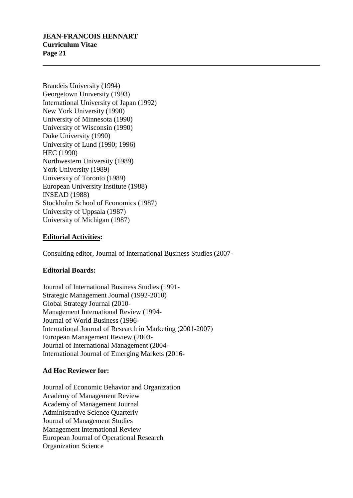Brandeis University (1994) Georgetown University (1993) International University of Japan (1992) New York University (1990) University of Minnesota (1990) University of Wisconsin (1990) Duke University (1990) University of Lund (1990; 1996) HEC (1990) Northwestern University (1989) York University (1989) University of Toronto (1989) European University Institute (1988) INSEAD (1988) Stockholm School of Economics (1987) University of Uppsala (1987) University of Michigan (1987)

## **Editorial Activities:**

Consulting editor, Journal of International Business Studies (2007-

# **Editorial Boards:**

Journal of International Business Studies (1991- Strategic Management Journal (1992-2010) Global Strategy Journal (2010- Management International Review (1994- Journal of World Business (1996- International Journal of Research in Marketing (2001-2007) European Management Review (2003- Journal of International Management (2004- International Journal of Emerging Markets (2016-

## **Ad Hoc Reviewer for:**

Journal of Economic Behavior and Organization Academy of Management Review Academy of Management Journal Administrative Science Quarterly Journal of Management Studies Management International Review European Journal of Operational Research Organization Science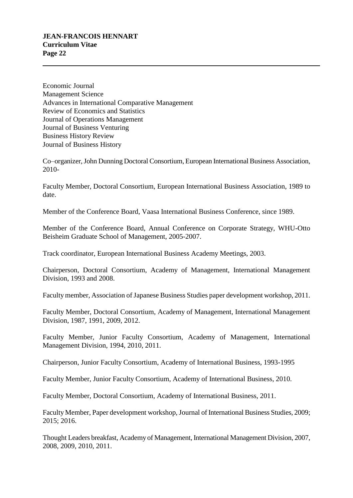# **JEAN-FRANCOIS HENNART Curriculum Vitae Page 22**

Economic Journal Management Science Advances in International Comparative Management Review of Economics and Statistics Journal of Operations Management Journal of Business Venturing Business History Review Journal of Business History

Co–organizer, John Dunning Doctoral Consortium, European International Business Association, 2010-

Faculty Member, Doctoral Consortium, European International Business Association, 1989 to date.

Member of the Conference Board, Vaasa International Business Conference, since 1989.

Member of the Conference Board, Annual Conference on Corporate Strategy, WHU-Otto Beisheim Graduate School of Management, 2005-2007.

Track coordinator, European International Business Academy Meetings, 2003.

Chairperson, Doctoral Consortium, Academy of Management, International Management Division, 1993 and 2008.

Faculty member, Association of Japanese Business Studies paper development workshop, 2011.

Faculty Member, Doctoral Consortium, Academy of Management, International Management Division, 1987, 1991, 2009, 2012.

Faculty Member, Junior Faculty Consortium, Academy of Management, International Management Division, 1994, 2010, 2011.

Chairperson, Junior Faculty Consortium, Academy of International Business, 1993-1995

Faculty Member, Junior Faculty Consortium, Academy of International Business, 2010.

Faculty Member, Doctoral Consortium, Academy of International Business, 2011.

Faculty Member, Paper development workshop, Journal of International Business Studies, 2009; 2015; 2016.

Thought Leaders breakfast, Academy of Management, International Management Division, 2007, 2008, 2009, 2010, 2011.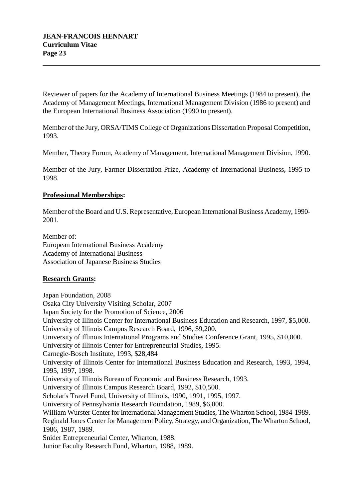Reviewer of papers for the Academy of International Business Meetings (1984 to present), the Academy of Management Meetings, International Management Division (1986 to present) and the European International Business Association (1990 to present).

Member of the Jury, ORSA/TIMS College of Organizations Dissertation Proposal Competition, 1993.

Member, Theory Forum, Academy of Management, International Management Division, 1990.

Member of the Jury, Farmer Dissertation Prize, Academy of International Business, 1995 to 1998.

## **Professional Memberships:**

Member of the Board and U.S. Representative, European International Business Academy, 1990- 2001.

Member of: European International Business Academy Academy of International Business Association of Japanese Business Studies

## **Research Grants:**

Japan Foundation, 2008 Osaka City University Visiting Scholar, 2007 Japan Society for the Promotion of Science, 2006 University of Illinois Center for International Business Education and Research, 1997, \$5,000. University of Illinois Campus Research Board, 1996, \$9,200. University of Illinois International Programs and Studies Conference Grant, 1995, \$10,000. University of Illinois Center for Entrepreneurial Studies, 1995. Carnegie-Bosch Institute, 1993, \$28,484 University of Illinois Center for International Business Education and Research, 1993, 1994, 1995, 1997, 1998. University of Illinois Bureau of Economic and Business Research, 1993. University of Illinois Campus Research Board, 1992, \$10,500. Scholar's Travel Fund, University of Illinois, 1990, 1991, 1995, 1997. University of Pennsylvania Research Foundation, 1989, \$6,000. William Wurster Center for International Management Studies, The Wharton School, 1984-1989. Reginald Jones Center for Management Policy, Strategy, and Organization, The Wharton School, 1986, 1987, 1989. Snider Entrepreneurial Center, Wharton, 1988. Junior Faculty Research Fund, Wharton, 1988, 1989.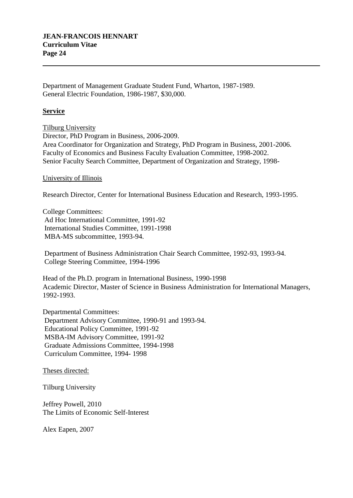Department of Management Graduate Student Fund, Wharton, 1987-1989. General Electric Foundation, 1986-1987, \$30,000.

#### **Service**

Tilburg University Director, PhD Program in Business, 2006-2009. Area Coordinator for Organization and Strategy, PhD Program in Business, 2001-2006. Faculty of Economics and Business Faculty Evaluation Committee, 1998-2002. Senior Faculty Search Committee, Department of Organization and Strategy, 1998-

#### University of Illinois

Research Director, Center for International Business Education and Research, 1993-1995.

College Committees: Ad Hoc International Committee, 1991-92 International Studies Committee, 1991-1998 MBA-MS subcommittee, 1993-94.

Department of Business Administration Chair Search Committee, 1992-93, 1993-94. College Steering Committee, 1994-1996

Head of the Ph.D. program in International Business, 1990-1998 Academic Director, Master of Science in Business Administration for International Managers, 1992-1993.

Departmental Committees: Department Advisory Committee, 1990-91 and 1993-94. Educational Policy Committee, 1991-92 MSBA-IM Advisory Committee, 1991-92 Graduate Admissions Committee, 1994-1998 Curriculum Committee, 1994- 1998

Theses directed:

Tilburg University

Jeffrey Powell, 2010 The Limits of Economic Self-Interest

Alex Eapen, 2007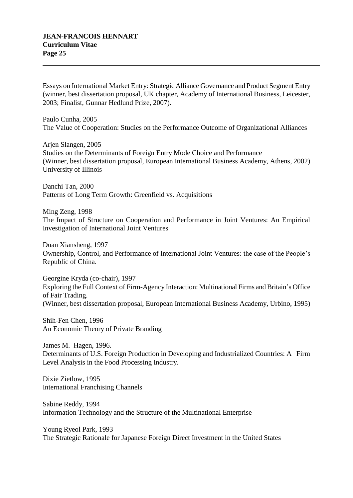Essays on International Market Entry: Strategic Alliance Governance and Product Segment Entry (winner, best dissertation proposal, UK chapter, Academy of International Business, Leicester, 2003; Finalist, Gunnar Hedlund Prize, 2007).

Paulo Cunha, 2005 The Value of Cooperation: Studies on the Performance Outcome of Organizational Alliances

Arjen Slangen, 2005 Studies on the Determinants of Foreign Entry Mode Choice and Performance (Winner, best dissertation proposal, European International Business Academy, Athens, 2002) University of Illinois

Danchi Tan, 2000 Patterns of Long Term Growth: Greenfield vs. Acquisitions

Ming Zeng, 1998 The Impact of Structure on Cooperation and Performance in Joint Ventures: An Empirical Investigation of International Joint Ventures

Duan Xiansheng, 1997 Ownership, Control, and Performance of International Joint Ventures: the case of the People's Republic of China.

Georgine Kryda (co-chair), 1997 Exploring the Full Context of Firm-Agency Interaction: Multinational Firms and Britain's Office of Fair Trading. (Winner, best dissertation proposal, European International Business Academy, Urbino, 1995)

Shih-Fen Chen, 1996 An Economic Theory of Private Branding

James M. Hagen, 1996. Determinants of U.S. Foreign Production in Developing and Industrialized Countries: A Firm Level Analysis in the Food Processing Industry.

Dixie Zietlow, 1995 International Franchising Channels

Sabine Reddy, 1994 Information Technology and the Structure of the Multinational Enterprise

Young Ryeol Park, 1993 The Strategic Rationale for Japanese Foreign Direct Investment in the United States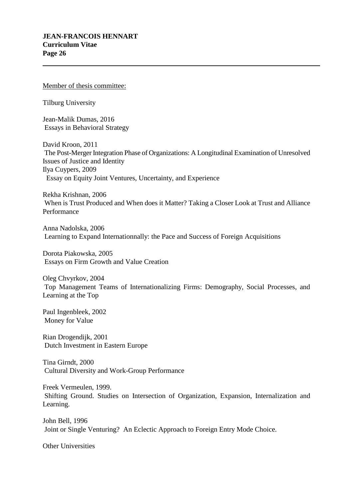#### Member of thesis committee:

Tilburg University

Jean-Malik Dumas, 2016 Essays in Behavioral Strategy

David Kroon, 2011 The Post-Merger Integration Phase of Organizations: A Longitudinal Examination of Unresolved Issues of Justice and Identity Ilya Cuypers, 2009 Essay on Equity Joint Ventures, Uncertainty, and Experience

Rekha Krishnan, 2006 When is Trust Produced and When does it Matter? Taking a Closer Look at Trust and Alliance Performance

Anna Nadolska, 2006 Learning to Expand Internationnally: the Pace and Success of Foreign Acquisitions

Dorota Piakowska, 2005 Essays on Firm Growth and Value Creation

Oleg Chvyrkov, 2004 Top Management Teams of Internationalizing Firms: Demography, Social Processes, and Learning at the Top

Paul Ingenbleek, 2002 Money for Value

Rian Drogendijk, 2001 Dutch Investment in Eastern Europe

Tina Girndt, 2000 Cultural Diversity and Work-Group Performance

Freek Vermeulen, 1999. Shifting Ground. Studies on Intersection of Organization, Expansion, Internalization and Learning.

John Bell, 1996 Joint or Single Venturing? An Eclectic Approach to Foreign Entry Mode Choice.

Other Universities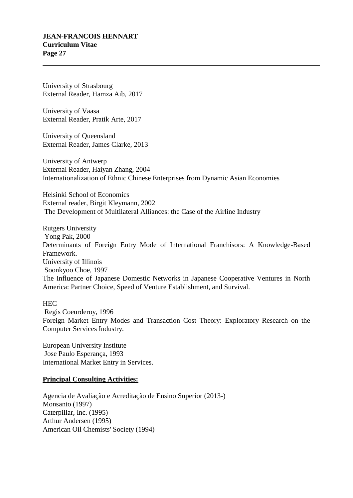University of Strasbourg External Reader, Hamza Aib, 2017

University of Vaasa External Reader, Pratik Arte, 2017

University of Queensland External Reader, James Clarke, 2013

University of Antwerp External Reader, Haiyan Zhang, 2004 Internationalization of Ethnic Chinese Enterprises from Dynamic Asian Economies

Helsinki School of Economics External reader, Birgit Kleymann, 2002 The Development of Multilateral Alliances: the Case of the Airline Industry

Rutgers University Yong Pak, 2000 Determinants of Foreign Entry Mode of International Franchisors: A Knowledge-Based Framework. University of Illinois Soonkyoo Choe, 1997 The Influence of Japanese Domestic Networks in Japanese Cooperative Ventures in North America: Partner Choice, Speed of Venture Establishment, and Survival.

**HEC** 

Regis Coeurderoy, 1996 Foreign Market Entry Modes and Transaction Cost Theory: Exploratory Research on the Computer Services Industry.

European University Institute Jose Paulo Esperança, 1993 International Market Entry in Services.

## **Principal Consulting Activities:**

Agencia de Avaliação e Acreditação de Ensino Superior (2013-) Monsanto (1997) Caterpillar, Inc. (1995) Arthur Andersen (1995) American Oil Chemists' Society (1994)